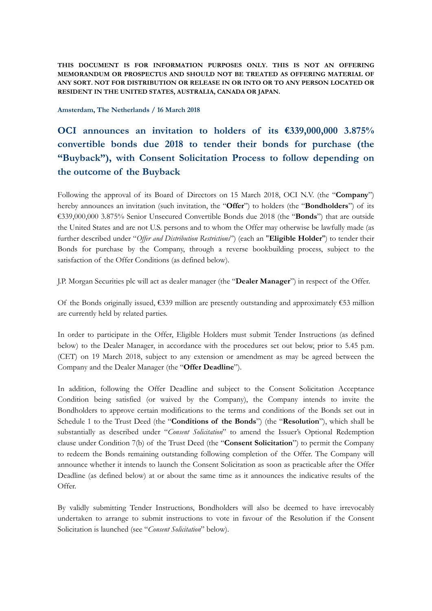**THIS DOCUMENT IS FOR INFORMATION PURPOSES ONLY. THIS IS NOT AN OFFERING MEMORANDUM OR PROSPECTUS AND SHOULD NOT BE TREATED AS OFFERING MATERIAL OF ANY SORT. NOT FOR DISTRIBUTION OR RELEASE IN OR INTO OR TO ANY PERSON LOCATED OR RESIDENT IN THE UNITED STATES, AUSTRALIA, CANADA OR JAPAN.** 

**Amsterdam, The Netherlands / 16 March 2018**

**OCI announces an invitation to holders of its €339,000,000 3.875% convertible bonds due 2018 to tender their bonds for purchase (the "Buyback"), with Consent Solicitation Process to follow depending on the outcome of the Buyback** 

Following the approval of its Board of Directors on 15 March 2018, OCI N.V. (the "**Company**") hereby announces an invitation (such invitation, the "**Offer**") to holders (the "**Bondholders**") of its €339,000,000 3.875% Senior Unsecured Convertible Bonds due 2018 (the "**Bonds**") that are outside the United States and are not U.S. persons and to whom the Offer may otherwise be lawfully made (as further described under "*Offer and Distribution Restrictions*") (each an "**Eligible Holder**") to tender their Bonds for purchase by the Company, through a reverse bookbuilding process, subject to the satisfaction of the Offer Conditions (as defined below).

J.P. Morgan Securities plc will act as dealer manager (the "**Dealer Manager**") in respect of the Offer.

Of the Bonds originally issued,  $\epsilon$ 339 million are presently outstanding and approximately  $\epsilon$ 53 million are currently held by related parties.

In order to participate in the Offer, Eligible Holders must submit Tender Instructions (as defined below) to the Dealer Manager, in accordance with the procedures set out below, prior to 5.45 p.m. (CET) on 19 March 2018, subject to any extension or amendment as may be agreed between the Company and the Dealer Manager (the "**Offer Deadline**").

In addition, following the Offer Deadline and subject to the Consent Solicitation Acceptance Condition being satisfied (or waived by the Company), the Company intends to invite the Bondholders to approve certain modifications to the terms and conditions of the Bonds set out in Schedule 1 to the Trust Deed (the "**Conditions of the Bonds**") (the "**Resolution**"), which shall be substantially as described under "*Consent Solicitation*" to amend the Issuer's Optional Redemption clause under Condition 7(b) of the Trust Deed (the "**Consent Solicitation**") to permit the Company to redeem the Bonds remaining outstanding following completion of the Offer. The Company will announce whether it intends to launch the Consent Solicitation as soon as practicable after the Offer Deadline (as defined below) at or about the same time as it announces the indicative results of the Offer.

By validly submitting Tender Instructions, Bondholders will also be deemed to have irrevocably undertaken to arrange to submit instructions to vote in favour of the Resolution if the Consent Solicitation is launched (see "*Consent Solicitation*" below).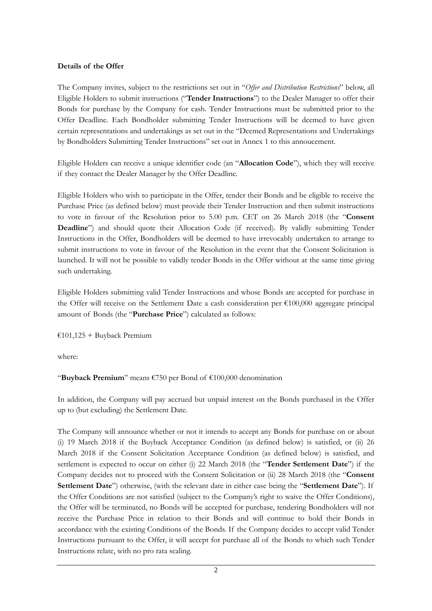# **Details of the Offer**

The Company invites, subject to the restrictions set out in "*Offer and Distribution Restrictions*" below, all Eligible Holders to submit instructions ("**Tender Instructions**") to the Dealer Manager to offer their Bonds for purchase by the Company for cash. Tender Instructions must be submitted prior to the Offer Deadline. Each Bondholder submitting Tender Instructions will be deemed to have given certain representations and undertakings as set out in the "Deemed Representations and Undertakings by Bondholders Submitting Tender Instructions" set out in Annex 1 to this annoucement.

Eligible Holders can receive a unique identifier code (an "**Allocation Code**"), which they will receive if they contact the Dealer Manager by the Offer Deadline.

Eligible Holders who wish to participate in the Offer, tender their Bonds and be eligible to receive the Purchase Price (as defined below) must provide their Tender Instruction and then submit instructions to vote in favour of the Resolution prior to 5.00 p.m. CET on 26 March 2018 (the "**Consent Deadline**") and should quote their Allocation Code (if received). By validly submitting Tender Instructions in the Offer, Bondholders will be deemed to have irrevocably undertaken to arrange to submit instructions to vote in favour of the Resolution in the event that the Consent Solicitation is launched. It will not be possible to validly tender Bonds in the Offer without at the same time giving such undertaking.

Eligible Holders submitting valid Tender Instructions and whose Bonds are accepted for purchase in the Offer will receive on the Settlement Date a cash consideration per  $\epsilon$ 100,000 aggregate principal amount of Bonds (the "**Purchase Price**") calculated as follows:

 $£101,125 + Buyback Premium$ 

where:

"**Buyback Premium**" means €750 per Bond of €100,000 denomination

In addition, the Company will pay accrued but unpaid interest on the Bonds purchased in the Offer up to (but excluding) the Settlement Date.

The Company will announce whether or not it intends to accept any Bonds for purchase on or about (i) 19 March 2018 if the Buyback Acceptance Condition (as defined below) is satisfied, or (ii) 26 March 2018 if the Consent Solicitation Acceptance Condition (as defined below) is satisfied, and settlement is expected to occur on either (i) 22 March 2018 (the "**Tender Settlement Date**") if the Company decides not to proceed with the Consent Solicitation or (ii) 28 March 2018 (the "**Consent Settlement Date**") otherwise, (with the relevant date in either case being the "**Settlement Date**"). If the Offer Conditions are not satisfied (subject to the Company's right to waive the Offer Conditions), the Offer will be terminated, no Bonds will be accepted for purchase, tendering Bondholders will not receive the Purchase Price in relation to their Bonds and will continue to hold their Bonds in accordance with the existing Conditions of the Bonds. If the Company decides to accept valid Tender Instructions pursuant to the Offer, it will accept for purchase all of the Bonds to which such Tender Instructions relate, with no pro rata scaling.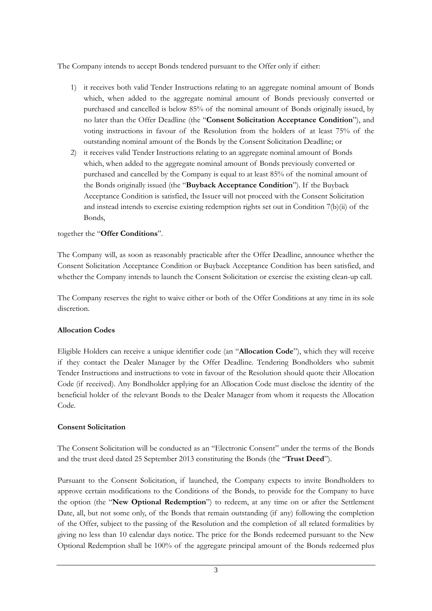The Company intends to accept Bonds tendered pursuant to the Offer only if either:

- 1) it receives both valid Tender Instructions relating to an aggregate nominal amount of Bonds which, when added to the aggregate nominal amount of Bonds previously converted or purchased and cancelled is below 85% of the nominal amount of Bonds originally issued, by no later than the Offer Deadline (the "**Consent Solicitation Acceptance Condition**"), and voting instructions in favour of the Resolution from the holders of at least 75% of the outstanding nominal amount of the Bonds by the Consent Solicitation Deadline; or
- 2) it receives valid Tender Instructions relating to an aggregate nominal amount of Bonds which, when added to the aggregate nominal amount of Bonds previously converted or purchased and cancelled by the Company is equal to at least 85% of the nominal amount of the Bonds originally issued (the "**Buyback Acceptance Condition**"). If the Buyback Acceptance Condition is satisfied, the Issuer will not proceed with the Consent Solicitation and instead intends to exercise existing redemption rights set out in Condition 7(b)(ii) of the Bonds,

# together the "**Offer Conditions**".

The Company will, as soon as reasonably practicable after the Offer Deadline, announce whether the Consent Solicitation Acceptance Condition or Buyback Acceptance Condition has been satisfied, and whether the Company intends to launch the Consent Solicitation or exercise the existing clean-up call.

The Company reserves the right to waive either or both of the Offer Conditions at any time in its sole discretion.

# **Allocation Codes**

Eligible Holders can receive a unique identifier code (an "**Allocation Code**"), which they will receive if they contact the Dealer Manager by the Offer Deadline. Tendering Bondholders who submit Tender Instructions and instructions to vote in favour of the Resolution should quote their Allocation Code (if received). Any Bondholder applying for an Allocation Code must disclose the identity of the beneficial holder of the relevant Bonds to the Dealer Manager from whom it requests the Allocation Code.

# **Consent Solicitation**

The Consent Solicitation will be conducted as an "Electronic Consent" under the terms of the Bonds and the trust deed dated 25 September 2013 constituting the Bonds (the "**Trust Deed**").

Pursuant to the Consent Solicitation, if launched, the Company expects to invite Bondholders to approve certain modifications to the Conditions of the Bonds, to provide for the Company to have the option (the "**New Optional Redemption**") to redeem, at any time on or after the Settlement Date, all, but not some only, of the Bonds that remain outstanding (if any) following the completion of the Offer, subject to the passing of the Resolution and the completion of all related formalities by giving no less than 10 calendar days notice. The price for the Bonds redeemed pursuant to the New Optional Redemption shall be 100% of the aggregate principal amount of the Bonds redeemed plus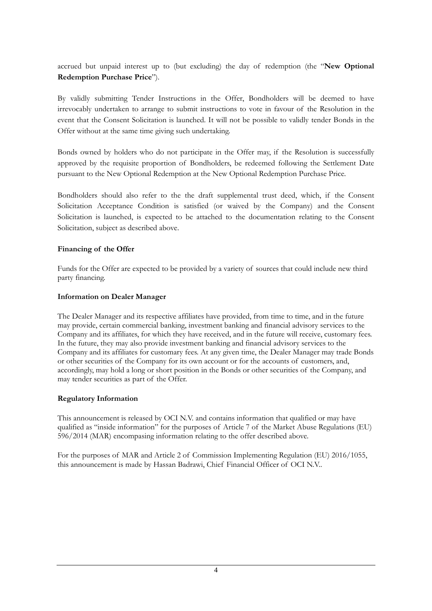accrued but unpaid interest up to (but excluding) the day of redemption (the "**New Optional Redemption Purchase Price**").

By validly submitting Tender Instructions in the Offer, Bondholders will be deemed to have irrevocably undertaken to arrange to submit instructions to vote in favour of the Resolution in the event that the Consent Solicitation is launched. It will not be possible to validly tender Bonds in the Offer without at the same time giving such undertaking.

Bonds owned by holders who do not participate in the Offer may, if the Resolution is successfully approved by the requisite proportion of Bondholders, be redeemed following the Settlement Date pursuant to the New Optional Redemption at the New Optional Redemption Purchase Price.

Bondholders should also refer to the the draft supplemental trust deed, which, if the Consent Solicitation Acceptance Condition is satisfied (or waived by the Company) and the Consent Solicitation is launched, is expected to be attached to the documentation relating to the Consent Solicitation, subject as described above.

# **Financing of the Offer**

Funds for the Offer are expected to be provided by a variety of sources that could include new third party financing.

# **Information on Dealer Manager**

The Dealer Manager and its respective affiliates have provided, from time to time, and in the future may provide, certain commercial banking, investment banking and financial advisory services to the Company and its affiliates, for which they have received, and in the future will receive, customary fees. In the future, they may also provide investment banking and financial advisory services to the Company and its affiliates for customary fees. At any given time, the Dealer Manager may trade Bonds or other securities of the Company for its own account or for the accounts of customers, and, accordingly, may hold a long or short position in the Bonds or other securities of the Company, and may tender securities as part of the Offer.

# **Regulatory Information**

This announcement is released by OCI N.V. and contains information that qualified or may have qualified as "inside information" for the purposes of Article 7 of the Market Abuse Regulations (EU) 596/2014 (MAR) encompasing information relating to the offer described above.

For the purposes of MAR and Article 2 of Commission Implementing Regulation (EU) 2016/1055, this announcement is made by Hassan Badrawi, Chief Financial Officer of OCI N.V..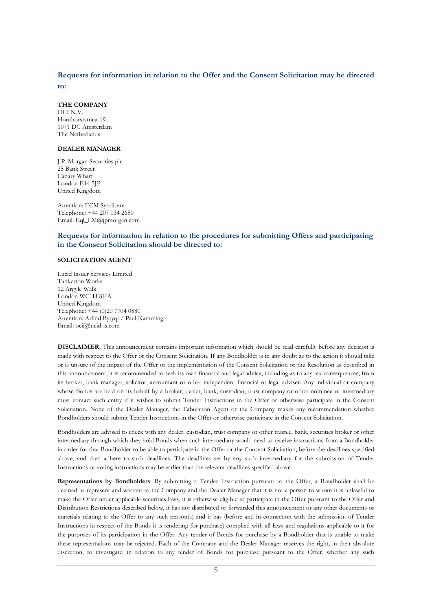# **Requests for information in relation to the Offer and the Consent Solicitation may be directed**

**to:** 

#### **THE COMPANY**

OCI N.V. Honthorststraat 19 1071 DC Amsterdam The Netherlands

#### **DEALER MANAGER**

J.P. Morgan Securities plc 25 Bank Street Canary Wharf London E14 5JP United Kingdom

Attention: ECM Syndicate Telephone: +44 207 134 2650 Email: Eql\_LM@jpmorgan.com

# **Requests for information in relation to the procedures for submitting Offers and participating in the Consent Solicitation should be directed to:**

## **SOLICITATION AGENT**

Lucid Issuer Services Limited Tankerton Works 12 Argyle Walk London WC1H 8HA United Kingdom Telephone: +44 (0)20 7704 0880 Attention: Arlind Bytyqi / Paul Kamminga Email: oci@lucid-is.com

**DISCLAIMER.** This announcement contains important information which should be read carefully before any decision is made with respect to the Offer or the Consent Solicitation. If any Bondholder is in any doubt as to the action it should take or is unsure of the impact of the Offer or the implementation of the Consent Solicitation or the Resolution as described in this announcement, it is recommended to seek its own financial and legal advice, including as to any tax consequences, from its broker, bank manager, solicitor, accountant or other independent financial or legal adviser. Any individual or company whose Bonds are held on its behalf by a broker, dealer, bank, custodian, trust company or other nominee or intermediary must contact such entity if it wishes to submit Tender Instructions in the Offer or otherwise participate in the Consent Solicitation. None of the Dealer Manager, the Tabulation Agent or the Company makes any recommendation whether Bondholders should submit Tender Instructions in the Offer or otherwise participate in the Consent Solicitation.

Bondholders are advised to check with any dealer, custodian, trust company or other trustee, bank, securities broker or other intermediary through which they hold Bonds when such intermediary would need to receive instructions from a Bondholder in order for that Bondholder to be able to participate in the Offer or the Consent Solicitation, before the deadlines specified above, and then adhere to such deadlines. The deadlines set by any such intermediary for the submission of Tender Instructions or voting instructions may be earlier than the relevant deadlines specified above.

**Representations by Bondholders**: By submitting a Tender Instruction pursuant to the Offer, a Bondholder shall be deemed to represent and warrant to the Company and the Dealer Manager that it is not a person to whom it is unlawful to make the Offer under applicable securities laws, it is otherwise eligible to participate in the Offer pursuant to the Offer and Distribution Restrictions described below, it has not distributed or forwarded this announcement or any other documents or materials relating to the Offer to any such person(s) and it has (before and in connection with the submission of Tender Instructions in respect of the Bonds it is tendering for purchase) complied with all laws and regulations applicable to it for the purposes of its participation in the Offer. Any tender of Bonds for purchase by a Bondholder that is unable to make these representations may be rejected. Each of the Company and the Dealer Manager reserves the right, in their absolute discretion, to investigate, in relation to any tender of Bonds for purchase pursuant to the Offer, whether any such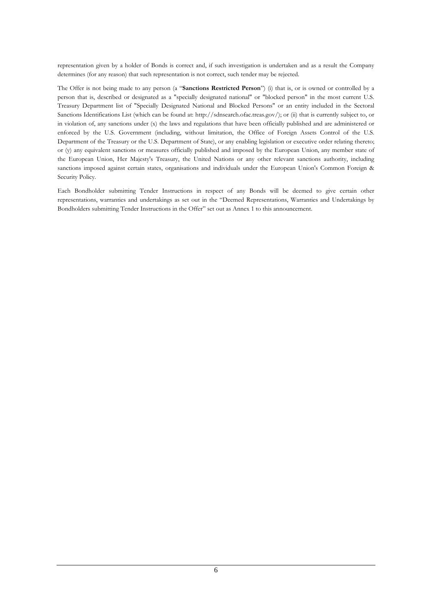representation given by a holder of Bonds is correct and, if such investigation is undertaken and as a result the Company determines (for any reason) that such representation is not correct, such tender may be rejected.

The Offer is not being made to any person (a "**Sanctions Restricted Person**") (i) that is, or is owned or controlled by a person that is, described or designated as a "specially designated national" or "blocked person" in the most current U.S. Treasury Department list of "Specially Designated National and Blocked Persons" or an entity included in the Sectoral Sanctions Identifications List (which can be found at: http://sdnsearch.ofac.treas.gov/); or (ii) that is currently subject to, or in violation of, any sanctions under (x) the laws and regulations that have been officially published and are administered or enforced by the U.S. Government (including, without limitation, the Office of Foreign Assets Control of the U.S. Department of the Treasury or the U.S. Department of State), or any enabling legislation or executive order relating thereto; or (y) any equivalent sanctions or measures officially published and imposed by the European Union, any member state of the European Union, Her Majesty's Treasury, the United Nations or any other relevant sanctions authority, including sanctions imposed against certain states, organisations and individuals under the European Union's Common Foreign & Security Policy.

Each Bondholder submitting Tender Instructions in respect of any Bonds will be deemed to give certain other representations, warranties and undertakings as set out in the "Deemed Representations, Warranties and Undertakings by Bondholders submitting Tender Instructions in the Offer" set out as Annex 1 to this announcement.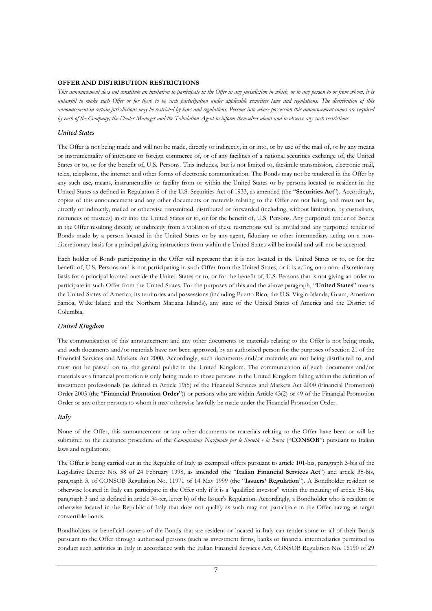## **OFFER AND DISTRIBUTION RESTRICTIONS**

*This announcement does not constitute an invitation to participate in the Offer in any jurisdiction in which, or to any person to or from whom, it is unlawful to make such Offer or for there to be such participation under applicable securities laws and regulations. The distribution of this announcement in certain jurisdictions may be restricted by laws and regulations. Persons into whose possession this announcement comes are required by each of the Company, the Dealer Manager and the Tabulation Agent to inform themselves about and to observe any such restrictions.* 

## *United States*

The Offer is not being made and will not be made, directly or indirectly, in or into, or by use of the mail of, or by any means or instrumentality of interstate or foreign commerce of, or of any facilities of a national securities exchange of, the United States or to, or for the benefit of, U.S. Persons. This includes, but is not limited to, facsimile transmission, electronic mail, telex, telephone, the internet and other forms of electronic communication. The Bonds may not be tendered in the Offer by any such use, means, instrumentality or facility from or within the United States or by persons located or resident in the United States as defined in Regulation S of the U.S. Securities Act of 1933, as amended (the "**Securities Act**"). Accordingly, copies of this announcement and any other documents or materials relating to the Offer are not being, and must not be, directly or indirectly, mailed or otherwise transmitted, distributed or forwarded (including, without limitation, by custodians, nominees or trustees) in or into the United States or to, or for the benefit of, U.S. Persons. Any purported tender of Bonds in the Offer resulting directly or indirectly from a violation of these restrictions will be invalid and any purported tender of Bonds made by a person located in the United States or by any agent, fiduciary or other intermediary acting on a nondiscretionary basis for a principal giving instructions from within the United States will be invalid and will not be accepted.

Each holder of Bonds participating in the Offer will represent that it is not located in the United States or to, or for the benefit of, U.S. Persons and is not participating in such Offer from the United States, or it is acting on a non- discretionary basis for a principal located outside the United States or to, or for the benefit of, U.S. Persons that is not giving an order to participate in such Offer from the United States. For the purposes of this and the above paragraph, "**United States**" means the United States of America, its territories and possessions (including Puerto Rico, the U.S. Virgin Islands, Guam, American Samoa, Wake Island and the Northern Mariana Islands), any state of the United States of America and the District of Columbia.

## *United Kingdom*

The communication of this announcement and any other documents or materials relating to the Offer is not being made, and such documents and/or materials have not been approved, by an authorised person for the purposes of section 21 of the Financial Services and Markets Act 2000. Accordingly, such documents and/or materials are not being distributed to, and must not be passed on to, the general public in the United Kingdom. The communication of such documents and/or materials as a financial promotion is only being made to those persons in the United Kingdom falling within the definition of investment professionals (as defined in Article 19(5) of the Financial Services and Markets Act 2000 (Financial Promotion) Order 2005 (the "**Financial Promotion Order**")) or persons who are within Article 43(2) or 49 of the Financial Promotion Order or any other persons to whom it may otherwise lawfully be made under the Financial Promotion Order.

#### *Italy*

None of the Offer, this announcement or any other documents or materials relating to the Offer have been or will be submitted to the clearance procedure of the *Commissione Nazionale per le Società e la Borsa* ("**CONSOB**") pursuant to Italian laws and regulations.

The Offer is being carried out in the Republic of Italy as exempted offers pursuant to article 101-bis, paragraph 3-bis of the Legislative Decree No. 58 of 24 February 1998, as amended (the "**Italian Financial Services Act**") and article 35-bis, paragraph 3, of CONSOB Regulation No. 11971 of 14 May 1999 (the "**Issuers' Regulation**"). A Bondholder resident or otherwise located in Italy can participate in the Offer only if it is a "qualified investor" within the meaning of article 35-bis, paragraph 3 and as defined in article 34-ter, letter b) of the Issuer's Regulation. Accordingly, a Bondholder who is resident or otherwise located in the Republic of Italy that does not qualify as such may not participate in the Offer having as target convertible bonds.

Bondholders or beneficial owners of the Bonds that are resident or located in Italy can tender some or all of their Bonds pursuant to the Offer through authorised persons (such as investment firms, banks or financial intermediaries permitted to conduct such activities in Italy in accordance with the Italian Financial Services Act, CONSOB Regulation No. 16190 of 29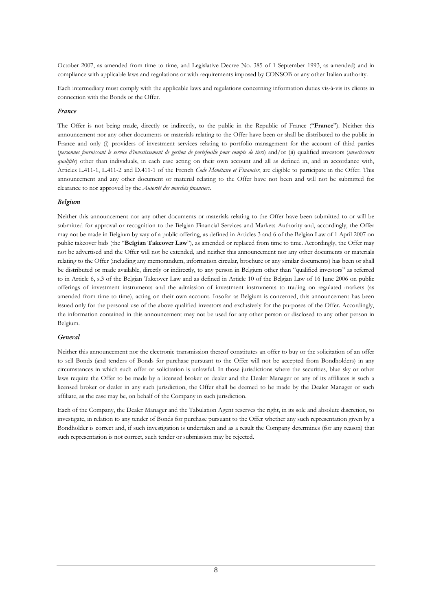October 2007, as amended from time to time, and Legislative Decree No. 385 of 1 September 1993, as amended) and in compliance with applicable laws and regulations or with requirements imposed by CONSOB or any other Italian authority.

Each intermediary must comply with the applicable laws and regulations concerning information duties vis-à-vis its clients in connection with the Bonds or the Offer.

## *France*

The Offer is not being made, directly or indirectly, to the public in the Republic of France ("**France**"). Neither this announcement nor any other documents or materials relating to the Offer have been or shall be distributed to the public in France and only (i) providers of investment services relating to portfolio management for the account of third parties (*personnes fournissant le service d'investissement de gestion de portefeuille pour compte de tiers*) and/or (ii) qualified investors (*investisseurs qualifiés*) other than individuals, in each case acting on their own account and all as defined in, and in accordance with, Articles L.411-1, L.411-2 and D.411-1 of the French *Code Monétaire et Financier*, are eligible to participate in the Offer. This announcement and any other document or material relating to the Offer have not been and will not be submitted for clearance to nor approved by the *Autorité des marchés financiers*.

## *Belgium*

Neither this announcement nor any other documents or materials relating to the Offer have been submitted to or will be submitted for approval or recognition to the Belgian Financial Services and Markets Authority and, accordingly, the Offer may not be made in Belgium by way of a public offering, as defined in Articles 3 and 6 of the Belgian Law of 1 April 2007 on public takeover bids (the "**Belgian Takeover Law**"), as amended or replaced from time to time. Accordingly, the Offer may not be advertised and the Offer will not be extended, and neither this announcement nor any other documents or materials relating to the Offer (including any memorandum, information circular, brochure or any similar documents) has been or shall be distributed or made available, directly or indirectly, to any person in Belgium other than "qualified investors" as referred to in Article 6, s.3 of the Belgian Takeover Law and as defined in Article 10 of the Belgian Law of 16 June 2006 on public offerings of investment instruments and the admission of investment instruments to trading on regulated markets (as amended from time to time), acting on their own account. Insofar as Belgium is concerned, this announcement has been issued only for the personal use of the above qualified investors and exclusively for the purposes of the Offer. Accordingly, the information contained in this announcement may not be used for any other person or disclosed to any other person in Belgium.

## *General*

Neither this announcement nor the electronic transmission thereof constitutes an offer to buy or the solicitation of an offer to sell Bonds (and tenders of Bonds for purchase pursuant to the Offer will not be accepted from Bondholders) in any circumstances in which such offer or solicitation is unlawful. In those jurisdictions where the securities, blue sky or other laws require the Offer to be made by a licensed broker or dealer and the Dealer Manager or any of its affiliates is such a licensed broker or dealer in any such jurisdiction, the Offer shall be deemed to be made by the Dealer Manager or such affiliate, as the case may be, on behalf of the Company in such jurisdiction.

Each of the Company, the Dealer Manager and the Tabulation Agent reserves the right, in its sole and absolute discretion, to investigate, in relation to any tender of Bonds for purchase pursuant to the Offer whether any such representation given by a Bondholder is correct and, if such investigation is undertaken and as a result the Company determines (for any reason) that such representation is not correct, such tender or submission may be rejected.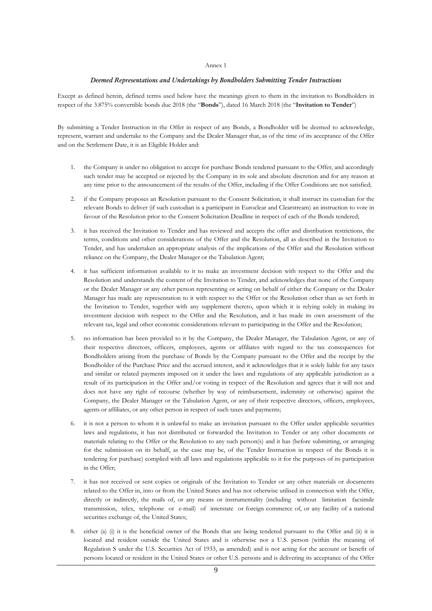#### Annex 1

#### *Deemed Representations and Undertakings by Bondholders Submitting Tender Instructions*

Except as defined herein, defined terms used below have the meanings given to them in the invitation to Bondholders in respect of the 3.875% convertible bonds due 2018 (the "**Bonds**"), dated 16 March 2018 (the "**Invitation to Tender**")

By submitting a Tender Instruction in the Offer in respect of any Bonds, a Bondholder will be deemed to acknowledge, represent, warrant and undertake to the Company and the Dealer Manager that, as of the time of its acceptance of the Offer and on the Settlement Date, it is an Eligible Holder and:

- 1. the Company is under no obligation to accept for purchase Bonds tendered pursuant to the Offer, and accordingly such tender may be accepted or rejected by the Company in its sole and absolute discretion and for any reason at any time prior to the announcement of the results of the Offer, including if the Offer Conditions are not satisfied;
- 2. if the Company proposes an Resolution pursuant to the Consent Solicitation, it shall instruct its custodian for the relevant Bonds to deliver (if such custodian is a participant in Euroclear and Clearstream) an instruction to vote in favour of the Resolution prior to the Consent Solicitation Deadline in respect of each of the Bonds tendered;
- 3. it has received the Invitation to Tender and has reviewed and accepts the offer and distribution restrictions, the terms, conditions and other considerations of the Offer and the Resolution, all as described in the Invitation to Tender, and has undertaken an appropriate analysis of the implications of the Offer and the Resolution without reliance on the Company, the Dealer Manager or the Tabulation Agent;
- 4. it has sufficient information available to it to make an investment decision with respect to the Offer and the Resolution and understands the content of the Invitation to Tender, and acknowledges that none of the Company or the Dealer Manager or any other person representing or acting on behalf of either the Company or the Dealer Manager has made any representation to it with respect to the Offer or the Resolution other than as set forth in the Invitation to Tender, together with any supplement thereto, upon which it is relying solely in making its investment decision with respect to the Offer and the Resolution, and it has made its own assessment of the relevant tax, legal and other economic considerations relevant to participating in the Offer and the Resolution;
- 5. no information has been provided to it by the Company, the Dealer Manager, the Tabulation Agent, or any of their respective directors, officers, employees, agents or affiliates with regard to the tax consequences for Bondholders arising from the purchase of Bonds by the Company pursuant to the Offer and the receipt by the Bondholder of the Purchase Price and the accrued interest, and it acknowledges that it is solely liable for any taxes and similar or related payments imposed on it under the laws and regulations of any applicable jurisdiction as a result of its participation in the Offer and/or voting in respect of the Resolution and agrees that it will not and does not have any right of recourse (whether by way of reimbursement, indemnity or otherwise) against the Company, the Dealer Manager or the Tabulation Agent, or any of their respective directors, officers, employees, agents or affiliates, or any other person in respect of such taxes and payments;
- 6. it is not a person to whom it is unlawful to make an invitation pursuant to the Offer under applicable securities laws and regulations, it has not distributed or forwarded the Invitation to Tender or any other documents or materials relating to the Offer or the Resolution to any such person(s) and it has (before submitting, or arranging for the submission on its behalf, as the case may be, of the Tender Instruction in respect of the Bonds it is tendering for purchase) complied with all laws and regulations applicable to it for the purposes of its participation in the Offer;
- 7. it has not received or sent copies or originals of the Invitation to Tender or any other materials or documents related to the Offer in, into or from the United States and has not otherwise utilised in connection with the Offer, directly or indirectly, the mails of, or any means or instrumentality (including without limitation facsimile transmission, telex, telephone or e-mail) of interstate or foreign commerce of, or any facility of a national securities exchange of, the United States;
- 8. either (a) (i) it is the beneficial owner of the Bonds that are being tendered pursuant to the Offer and (ii) it is located and resident outside the United States and is otherwise not a U.S. person (within the meaning of Regulation S under the U.S. Securities Act of 1933, as amended) and is not acting for the account or benefit of persons located or resident in the United States or other U.S. persons and is delivering its acceptance of the Offer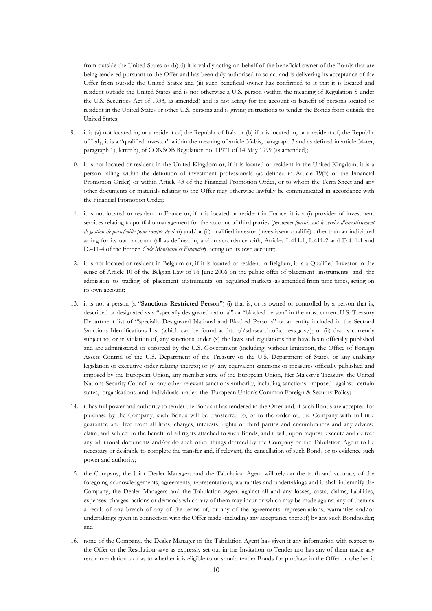from outside the United States or (b) (i) it is validly acting on behalf of the beneficial owner of the Bonds that are being tendered pursuant to the Offer and has been duly authorised to so act and is delivering its acceptance of the Offer from outside the United States and (ii) such beneficial owner has confirmed to it that it is located and resident outside the United States and is not otherwise a U.S. person (within the meaning of Regulation S under the U.S. Securities Act of 1933, as amended) and is not acting for the account or benefit of persons located or resident in the United States or other U.S. persons and is giving instructions to tender the Bonds from outside the United States;

- 9. it is (a) not located in, or a resident of, the Republic of Italy or (b) if it is located in, or a resident of, the Republic of Italy, it is a "qualified investor" within the meaning of article 35-bis, paragraph 3 and as defined in article 34-ter, paragraph 1), letter b), of CONSOB Regulation no. 11971 of 14 May 1999 (as amended);
- 10. it is not located or resident in the United Kingdom or, if it is located or resident in the United Kingdom, it is a person falling within the definition of investment professionals (as defined in Article 19(5) of the Financial Promotion Order) or within Article 43 of the Financial Promotion Order, or to whom the Term Sheet and any other documents or materials relating to the Offer may otherwise lawfully be communicated in accordance with the Financial Promotion Order;
- 11. it is not located or resident in France or, if it is located or resident in France, it is a (i) provider of investment services relating to portfolio management for the account of third parties (*personnes fournissant le service d'investissement de gestion de portefeuille pour compte de tiers*) and/or (ii) qualified investor (investisseur qualifié) other than an individual acting for its own account (all as defined in, and in accordance with, Articles L.411-1, L.411-2 and D.411-1 and D.411-4 of the French *Code Monétaire et Financier*), acting on its own account;
- 12. it is not located or resident in Belgium or, if it is located or resident in Belgium, it is a Qualified Investor in the sense of Article 10 of the Belgian Law of 16 June 2006 on the public offer of placement instruments and the admission to trading of placement instruments on regulated markets (as amended from time time), acting on its own account;
- 13. it is not a person (a "**Sanctions Restricted Person**") (i) that is, or is owned or controlled by a person that is, described or designated as a "specially designated national" or "blocked person" in the most current U.S. Treasury Department list of "Specially Designated National and Blocked Persons" or an entity included in the Sectoral Sanctions Identifications List (which can be found at: http://sdnsearch.ofac.treas.gov/); or (ii) that is currently subject to, or in violation of, any sanctions under (x) the laws and regulations that have been officially published and are administered or enforced by the U.S. Government (including, without limitation, the Office of Foreign Assets Control of the U.S. Department of the Treasury or the U.S. Department of State), or any enabling legislation or executive order relating thereto; or (y) any equivalent sanctions or measures officially published and imposed by the European Union, any member state of the European Union, Her Majesty's Treasury, the United Nations Security Council or any other relevant sanctions authority, including sanctions imposed against certain states, organisations and individuals under the European Union's Common Foreign & Security Policy;
- 14. it has full power and authority to tender the Bonds it has tendered in the Offer and, if such Bonds are accepted for purchase by the Company, such Bonds will be transferred to, or to the order of, the Company with full title guarantee and free from all liens, charges, interests, rights of third parties and encumbrances and any adverse claim, and subject to the benefit of all rights attached to such Bonds, and it will, upon request, execute and deliver any additional documents and/or do such other things deemed by the Company or the Tabulation Agent to be necessary or desirable to complete the transfer and, if relevant, the cancellation of such Bonds or to evidence such power and authority;
- 15. the Company, the Joint Dealer Managers and the Tabulation Agent will rely on the truth and accuracy of the foregoing acknowledgements, agreements, representations, warranties and undertakings and it shall indemnify the Company, the Dealer Managers and the Tabulation Agent against all and any losses, costs, claims, liabilities, expenses, charges, actions or demands which any of them may incur or which may be made against any of them as a result of any breach of any of the terms of, or any of the agreements, representations, warranties and/or undertakings given in connection with the Offer made (including any acceptance thereof) by any such Bondholder; and
- 16. none of the Company, the Dealer Manager or the Tabulation Agent has given it any information with respect to the Offer or the Resolution save as expressly set out in the Invitation to Tender nor has any of them made any recommendation to it as to whether it is eligible to or should tender Bonds for purchase in the Offer or whether it